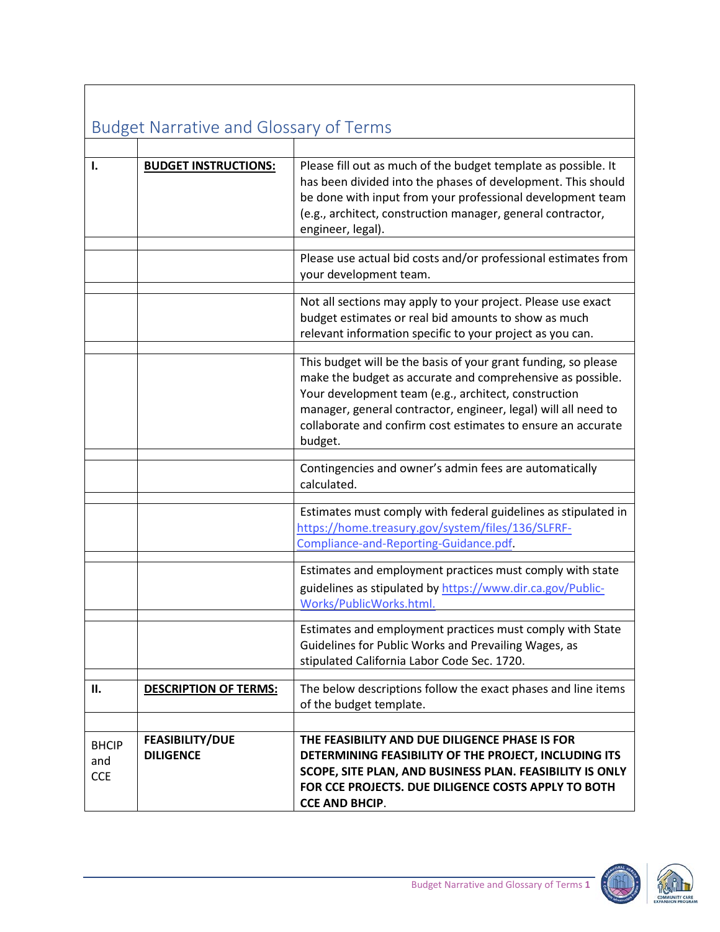| <b>Budget Narrative and Glossary of Terms</b> |                                            |                                                                                                                                                                                                                                                                                                                                   |
|-----------------------------------------------|--------------------------------------------|-----------------------------------------------------------------------------------------------------------------------------------------------------------------------------------------------------------------------------------------------------------------------------------------------------------------------------------|
|                                               |                                            |                                                                                                                                                                                                                                                                                                                                   |
| ı.                                            | <b>BUDGET INSTRUCTIONS:</b>                | Please fill out as much of the budget template as possible. It<br>has been divided into the phases of development. This should<br>be done with input from your professional development team<br>(e.g., architect, construction manager, general contractor,<br>engineer, legal).                                                  |
|                                               |                                            | Please use actual bid costs and/or professional estimates from<br>your development team.                                                                                                                                                                                                                                          |
|                                               |                                            | Not all sections may apply to your project. Please use exact<br>budget estimates or real bid amounts to show as much<br>relevant information specific to your project as you can.                                                                                                                                                 |
|                                               |                                            | This budget will be the basis of your grant funding, so please<br>make the budget as accurate and comprehensive as possible.<br>Your development team (e.g., architect, construction<br>manager, general contractor, engineer, legal) will all need to<br>collaborate and confirm cost estimates to ensure an accurate<br>budget. |
|                                               |                                            | Contingencies and owner's admin fees are automatically<br>calculated.                                                                                                                                                                                                                                                             |
|                                               |                                            | Estimates must comply with federal guidelines as stipulated in<br>https://home.treasury.gov/system/files/136/SLFRF-<br>Compliance-and-Reporting-Guidance.pdf.                                                                                                                                                                     |
|                                               |                                            | Estimates and employment practices must comply with state<br>guidelines as stipulated by https://www.dir.ca.gov/Public-<br>Works/PublicWorks.html.                                                                                                                                                                                |
|                                               |                                            | Estimates and employment practices must comply with State<br>Guidelines for Public Works and Prevailing Wages, as<br>stipulated California Labor Code Sec. 1720.                                                                                                                                                                  |
| П.                                            | <b>DESCRIPTION OF TERMS:</b>               | The below descriptions follow the exact phases and line items<br>of the budget template.                                                                                                                                                                                                                                          |
| <b>BHCIP</b><br>and<br><b>CCE</b>             | <b>FEASIBILITY/DUE</b><br><b>DILIGENCE</b> | THE FEASIBILITY AND DUE DILIGENCE PHASE IS FOR<br>DETERMINING FEASIBILITY OF THE PROJECT, INCLUDING ITS<br>SCOPE, SITE PLAN, AND BUSINESS PLAN. FEASIBILITY IS ONLY<br>FOR CCE PROJECTS. DUE DILIGENCE COSTS APPLY TO BOTH<br><b>CCE AND BHCIP.</b>                                                                               |

 $\mathsf I$ 

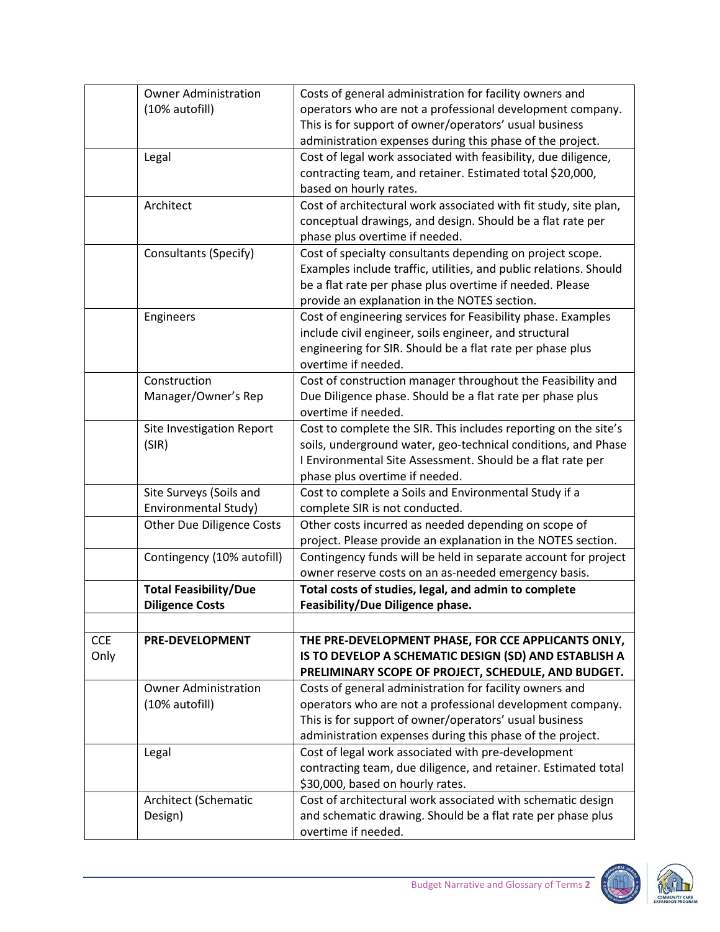|            | <b>Owner Administration</b>      | Costs of general administration for facility owners and                                                                    |
|------------|----------------------------------|----------------------------------------------------------------------------------------------------------------------------|
|            | (10% autofill)                   | operators who are not a professional development company.                                                                  |
|            |                                  | This is for support of owner/operators' usual business                                                                     |
|            |                                  | administration expenses during this phase of the project.                                                                  |
|            | Legal                            | Cost of legal work associated with feasibility, due diligence,                                                             |
|            |                                  | contracting team, and retainer. Estimated total \$20,000,                                                                  |
|            |                                  | based on hourly rates.                                                                                                     |
|            | Architect                        | Cost of architectural work associated with fit study, site plan,                                                           |
|            |                                  | conceptual drawings, and design. Should be a flat rate per                                                                 |
|            |                                  | phase plus overtime if needed.                                                                                             |
|            | Consultants (Specify)            | Cost of specialty consultants depending on project scope.                                                                  |
|            |                                  | Examples include traffic, utilities, and public relations. Should                                                          |
|            |                                  | be a flat rate per phase plus overtime if needed. Please                                                                   |
|            |                                  | provide an explanation in the NOTES section.                                                                               |
|            | Engineers                        | Cost of engineering services for Feasibility phase. Examples                                                               |
|            |                                  | include civil engineer, soils engineer, and structural                                                                     |
|            |                                  | engineering for SIR. Should be a flat rate per phase plus                                                                  |
|            |                                  | overtime if needed.                                                                                                        |
|            | Construction                     | Cost of construction manager throughout the Feasibility and                                                                |
|            | Manager/Owner's Rep              | Due Diligence phase. Should be a flat rate per phase plus                                                                  |
|            |                                  | overtime if needed.                                                                                                        |
|            | Site Investigation Report        | Cost to complete the SIR. This includes reporting on the site's                                                            |
|            | (SIR)                            | soils, underground water, geo-technical conditions, and Phase                                                              |
|            |                                  | I Environmental Site Assessment. Should be a flat rate per                                                                 |
|            |                                  | phase plus overtime if needed.                                                                                             |
|            | Site Surveys (Soils and          | Cost to complete a Soils and Environmental Study if a                                                                      |
|            | Environmental Study)             | complete SIR is not conducted.                                                                                             |
|            | <b>Other Due Diligence Costs</b> | Other costs incurred as needed depending on scope of                                                                       |
|            |                                  | project. Please provide an explanation in the NOTES section.                                                               |
|            | Contingency (10% autofill)       | Contingency funds will be held in separate account for project                                                             |
|            |                                  | owner reserve costs on an as-needed emergency basis.                                                                       |
|            | <b>Total Feasibility/Due</b>     | Total costs of studies, legal, and admin to complete                                                                       |
|            | <b>Diligence Costs</b>           | Feasibility/Due Diligence phase.                                                                                           |
|            |                                  |                                                                                                                            |
| <b>CCE</b> | PRE-DEVELOPMENT                  | THE PRE-DEVELOPMENT PHASE, FOR CCE APPLICANTS ONLY,                                                                        |
| Only       |                                  | IS TO DEVELOP A SCHEMATIC DESIGN (SD) AND ESTABLISH A<br>PRELIMINARY SCOPE OF PROJECT, SCHEDULE, AND BUDGET.               |
|            | <b>Owner Administration</b>      | Costs of general administration for facility owners and                                                                    |
|            | (10% autofill)                   | operators who are not a professional development company.                                                                  |
|            |                                  | This is for support of owner/operators' usual business                                                                     |
|            |                                  | administration expenses during this phase of the project.                                                                  |
|            |                                  |                                                                                                                            |
|            |                                  |                                                                                                                            |
|            | Legal                            | Cost of legal work associated with pre-development                                                                         |
|            |                                  | contracting team, due diligence, and retainer. Estimated total                                                             |
|            |                                  | \$30,000, based on hourly rates.                                                                                           |
|            | Architect (Schematic<br>Design)  | Cost of architectural work associated with schematic design<br>and schematic drawing. Should be a flat rate per phase plus |

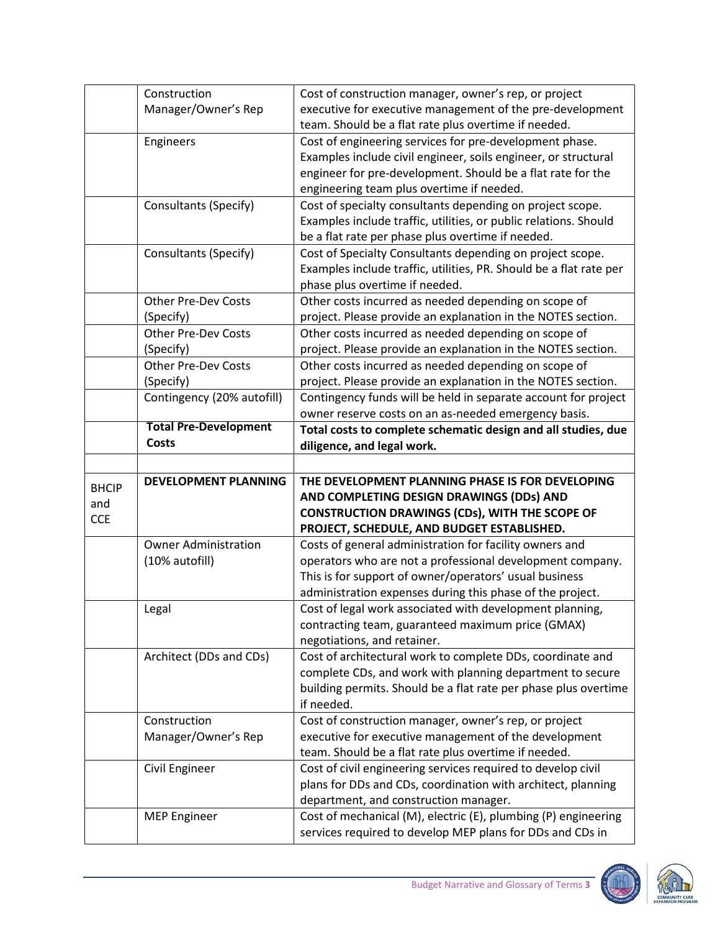|              | Construction                 | Cost of construction manager, owner's rep, or project                                                          |
|--------------|------------------------------|----------------------------------------------------------------------------------------------------------------|
|              | Manager/Owner's Rep          | executive for executive management of the pre-development                                                      |
|              |                              | team. Should be a flat rate plus overtime if needed.                                                           |
|              | Engineers                    | Cost of engineering services for pre-development phase.                                                        |
|              |                              | Examples include civil engineer, soils engineer, or structural                                                 |
|              |                              | engineer for pre-development. Should be a flat rate for the                                                    |
|              |                              | engineering team plus overtime if needed.                                                                      |
|              | Consultants (Specify)        | Cost of specialty consultants depending on project scope.                                                      |
|              |                              | Examples include traffic, utilities, or public relations. Should                                               |
|              |                              | be a flat rate per phase plus overtime if needed.                                                              |
|              | Consultants (Specify)        | Cost of Specialty Consultants depending on project scope.                                                      |
|              |                              | Examples include traffic, utilities, PR. Should be a flat rate per                                             |
|              |                              | phase plus overtime if needed.                                                                                 |
|              | <b>Other Pre-Dev Costs</b>   | Other costs incurred as needed depending on scope of                                                           |
|              | (Specify)                    | project. Please provide an explanation in the NOTES section.                                                   |
|              | <b>Other Pre-Dev Costs</b>   | Other costs incurred as needed depending on scope of                                                           |
|              | (Specify)                    | project. Please provide an explanation in the NOTES section.                                                   |
|              | <b>Other Pre-Dev Costs</b>   | Other costs incurred as needed depending on scope of                                                           |
|              | (Specify)                    | project. Please provide an explanation in the NOTES section.                                                   |
|              | Contingency (20% autofill)   | Contingency funds will be held in separate account for project                                                 |
|              | <b>Total Pre-Development</b> | owner reserve costs on an as-needed emergency basis.                                                           |
|              | <b>Costs</b>                 | Total costs to complete schematic design and all studies, due                                                  |
|              |                              | diligence, and legal work.                                                                                     |
|              |                              |                                                                                                                |
|              |                              |                                                                                                                |
| <b>BHCIP</b> | <b>DEVELOPMENT PLANNING</b>  | THE DEVELOPMENT PLANNING PHASE IS FOR DEVELOPING                                                               |
| and          |                              | AND COMPLETING DESIGN DRAWINGS (DDs) AND                                                                       |
| <b>CCE</b>   |                              | <b>CONSTRUCTION DRAWINGS (CDs), WITH THE SCOPE OF</b>                                                          |
|              |                              | PROJECT, SCHEDULE, AND BUDGET ESTABLISHED.                                                                     |
|              | <b>Owner Administration</b>  | Costs of general administration for facility owners and                                                        |
|              | (10% autofill)               | operators who are not a professional development company.                                                      |
|              |                              | This is for support of owner/operators' usual business                                                         |
|              |                              | administration expenses during this phase of the project.                                                      |
|              | Legal                        | Cost of legal work associated with development planning,                                                       |
|              |                              | contracting team, guaranteed maximum price (GMAX)                                                              |
|              |                              | negotiations, and retainer.                                                                                    |
|              | Architect (DDs and CDs)      | Cost of architectural work to complete DDs, coordinate and                                                     |
|              |                              | complete CDs, and work with planning department to secure                                                      |
|              |                              | building permits. Should be a flat rate per phase plus overtime<br>if needed.                                  |
|              | Construction                 |                                                                                                                |
|              | Manager/Owner's Rep          | Cost of construction manager, owner's rep, or project<br>executive for executive management of the development |
|              |                              | team. Should be a flat rate plus overtime if needed.                                                           |
|              | Civil Engineer               | Cost of civil engineering services required to develop civil                                                   |
|              |                              | plans for DDs and CDs, coordination with architect, planning                                                   |
|              |                              | department, and construction manager.                                                                          |
|              | <b>MEP Engineer</b>          | Cost of mechanical (M), electric (E), plumbing (P) engineering                                                 |

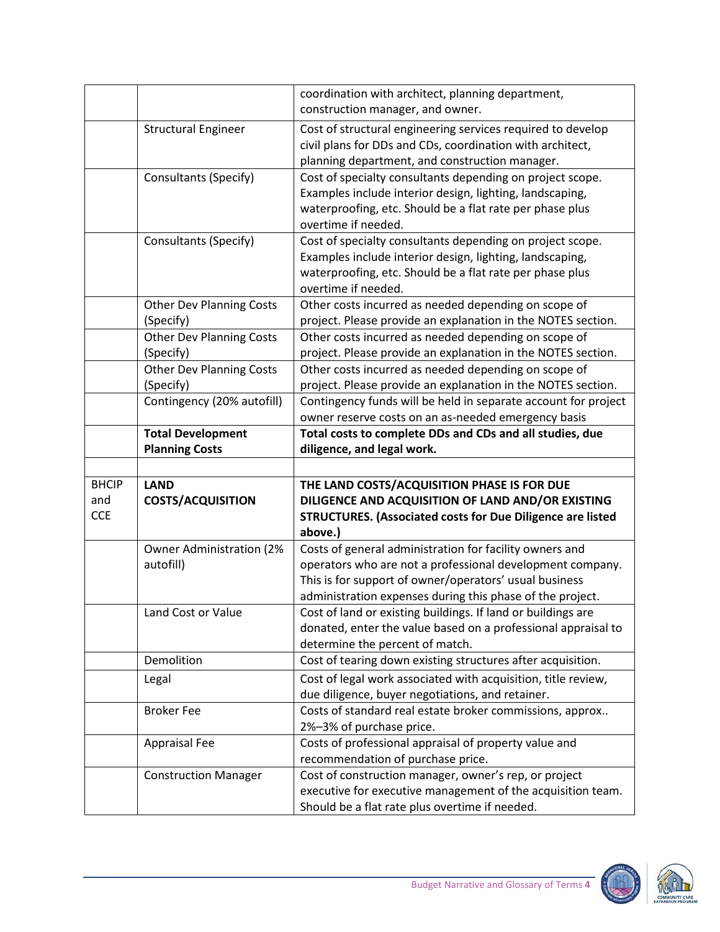|                                   |                                                   | coordination with architect, planning department,<br>construction manager, and owner.                                                                                                                                                                  |
|-----------------------------------|---------------------------------------------------|--------------------------------------------------------------------------------------------------------------------------------------------------------------------------------------------------------------------------------------------------------|
|                                   | <b>Structural Engineer</b>                        | Cost of structural engineering services required to develop<br>civil plans for DDs and CDs, coordination with architect,<br>planning department, and construction manager.                                                                             |
|                                   | Consultants (Specify)                             | Cost of specialty consultants depending on project scope.<br>Examples include interior design, lighting, landscaping,<br>waterproofing, etc. Should be a flat rate per phase plus<br>overtime if needed.                                               |
|                                   | Consultants (Specify)                             | Cost of specialty consultants depending on project scope.<br>Examples include interior design, lighting, landscaping,<br>waterproofing, etc. Should be a flat rate per phase plus<br>overtime if needed.                                               |
|                                   | <b>Other Dev Planning Costs</b><br>(Specify)      | Other costs incurred as needed depending on scope of<br>project. Please provide an explanation in the NOTES section.                                                                                                                                   |
|                                   | <b>Other Dev Planning Costs</b><br>(Specify)      | Other costs incurred as needed depending on scope of<br>project. Please provide an explanation in the NOTES section.                                                                                                                                   |
|                                   | <b>Other Dev Planning Costs</b><br>(Specify)      | Other costs incurred as needed depending on scope of<br>project. Please provide an explanation in the NOTES section.                                                                                                                                   |
|                                   | Contingency (20% autofill)                        | Contingency funds will be held in separate account for project<br>owner reserve costs on an as-needed emergency basis                                                                                                                                  |
|                                   | <b>Total Development</b><br><b>Planning Costs</b> | Total costs to complete DDs and CDs and all studies, due<br>diligence, and legal work.                                                                                                                                                                 |
|                                   |                                                   |                                                                                                                                                                                                                                                        |
|                                   |                                                   |                                                                                                                                                                                                                                                        |
| <b>BHCIP</b><br>and<br><b>CCE</b> | <b>LAND</b><br><b>COSTS/ACQUISITION</b>           | THE LAND COSTS/ACQUISITION PHASE IS FOR DUE<br>DILIGENCE AND ACQUISITION OF LAND AND/OR EXISTING<br><b>STRUCTURES. (Associated costs for Due Diligence are listed</b>                                                                                  |
|                                   | <b>Owner Administration (2%</b><br>autofill)      | above.)<br>Costs of general administration for facility owners and<br>operators who are not a professional development company.<br>This is for support of owner/operators' usual business<br>administration expenses during this phase of the project. |
|                                   | Land Cost or Value                                | Cost of land or existing buildings. If land or buildings are<br>donated, enter the value based on a professional appraisal to<br>determine the percent of match.                                                                                       |
|                                   | Demolition                                        | Cost of tearing down existing structures after acquisition.                                                                                                                                                                                            |
|                                   | Legal                                             | Cost of legal work associated with acquisition, title review,<br>due diligence, buyer negotiations, and retainer.                                                                                                                                      |
|                                   | <b>Broker Fee</b>                                 | Costs of standard real estate broker commissions, approx<br>2%-3% of purchase price.                                                                                                                                                                   |
|                                   | <b>Appraisal Fee</b>                              | Costs of professional appraisal of property value and<br>recommendation of purchase price.<br>Cost of construction manager, owner's rep, or project                                                                                                    |

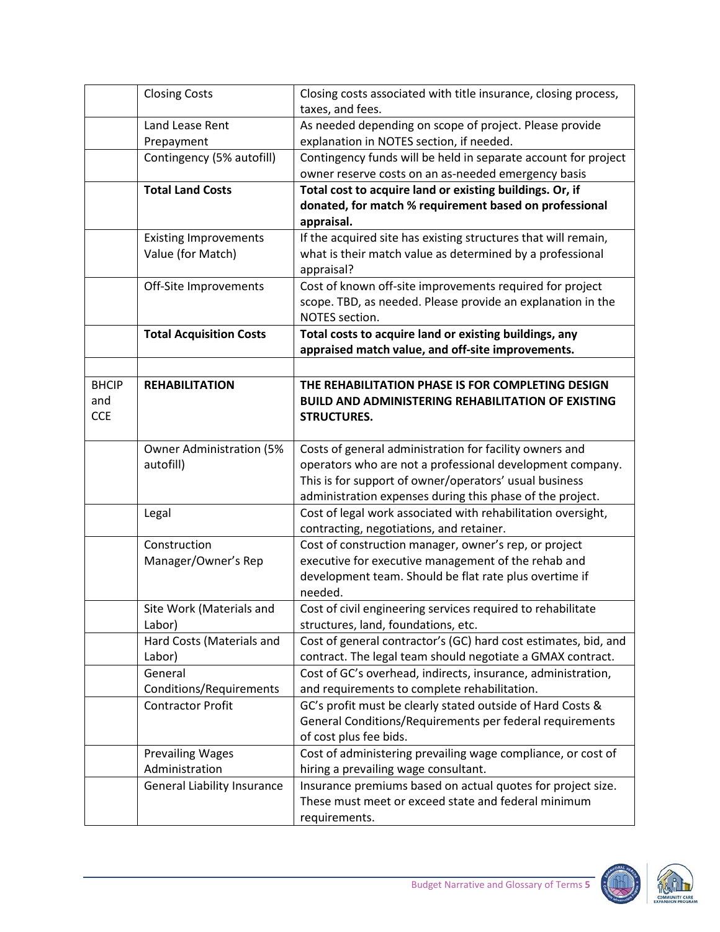|              | <b>Closing Costs</b>               | Closing costs associated with title insurance, closing process, |
|--------------|------------------------------------|-----------------------------------------------------------------|
|              |                                    | taxes, and fees.                                                |
|              | Land Lease Rent                    | As needed depending on scope of project. Please provide         |
|              | Prepayment                         | explanation in NOTES section, if needed.                        |
|              | Contingency (5% autofill)          | Contingency funds will be held in separate account for project  |
|              |                                    | owner reserve costs on an as-needed emergency basis             |
|              | <b>Total Land Costs</b>            | Total cost to acquire land or existing buildings. Or, if        |
|              |                                    | donated, for match % requirement based on professional          |
|              |                                    | appraisal.                                                      |
|              | <b>Existing Improvements</b>       | If the acquired site has existing structures that will remain,  |
|              | Value (for Match)                  | what is their match value as determined by a professional       |
|              |                                    | appraisal?                                                      |
|              | Off-Site Improvements              | Cost of known off-site improvements required for project        |
|              |                                    | scope. TBD, as needed. Please provide an explanation in the     |
|              |                                    | NOTES section.                                                  |
|              | <b>Total Acquisition Costs</b>     | Total costs to acquire land or existing buildings, any          |
|              |                                    | appraised match value, and off-site improvements.               |
|              |                                    |                                                                 |
| <b>BHCIP</b> | <b>REHABILITATION</b>              | THE REHABILITATION PHASE IS FOR COMPLETING DESIGN               |
| and          |                                    | <b>BUILD AND ADMINISTERING REHABILITATION OF EXISTING</b>       |
| <b>CCE</b>   |                                    | <b>STRUCTURES.</b>                                              |
|              |                                    |                                                                 |
|              | <b>Owner Administration (5%</b>    | Costs of general administration for facility owners and         |
|              | autofill)                          | operators who are not a professional development company.       |
|              |                                    | This is for support of owner/operators' usual business          |
|              |                                    | administration expenses during this phase of the project.       |
|              | Legal                              | Cost of legal work associated with rehabilitation oversight,    |
|              |                                    | contracting, negotiations, and retainer.                        |
|              | Construction                       | Cost of construction manager, owner's rep, or project           |
|              | Manager/Owner's Rep                | executive for executive management of the rehab and             |
|              |                                    | development team. Should be flat rate plus overtime if          |
|              |                                    | needed.                                                         |
|              | Site Work (Materials and           | Cost of civil engineering services required to rehabilitate     |
|              | Labor)                             | structures, land, foundations, etc.                             |
|              | Hard Costs (Materials and          | Cost of general contractor's (GC) hard cost estimates, bid, and |
|              | Labor)                             | contract. The legal team should negotiate a GMAX contract.      |
|              | General                            | Cost of GC's overhead, indirects, insurance, administration,    |
|              | Conditions/Requirements            | and requirements to complete rehabilitation.                    |
|              | <b>Contractor Profit</b>           | GC's profit must be clearly stated outside of Hard Costs &      |
|              |                                    | General Conditions/Requirements per federal requirements        |
|              |                                    | of cost plus fee bids.                                          |
|              | <b>Prevailing Wages</b>            | Cost of administering prevailing wage compliance, or cost of    |
|              | Administration                     | hiring a prevailing wage consultant.                            |
|              | <b>General Liability Insurance</b> | Insurance premiums based on actual quotes for project size.     |
|              |                                    | These must meet or exceed state and federal minimum             |
|              |                                    | requirements.                                                   |

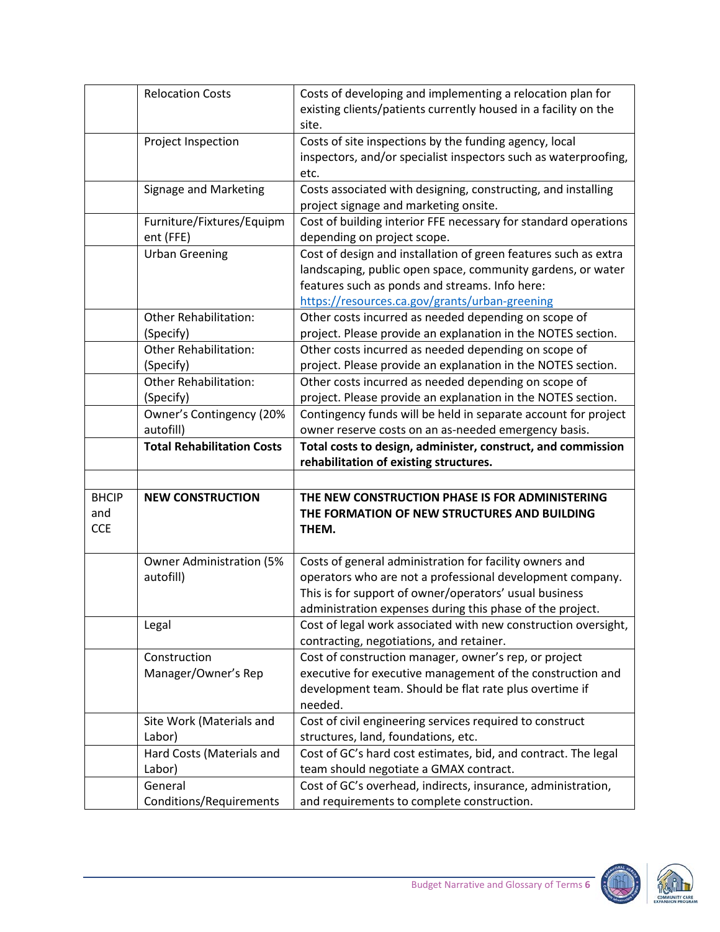|                                   | <b>Relocation Costs</b>                      | Costs of developing and implementing a relocation plan for<br>existing clients/patients currently housed in a facility on the<br>site.                                                                                                      |
|-----------------------------------|----------------------------------------------|---------------------------------------------------------------------------------------------------------------------------------------------------------------------------------------------------------------------------------------------|
|                                   | Project Inspection                           | Costs of site inspections by the funding agency, local<br>inspectors, and/or specialist inspectors such as waterproofing,<br>etc.                                                                                                           |
|                                   | Signage and Marketing                        | Costs associated with designing, constructing, and installing<br>project signage and marketing onsite.                                                                                                                                      |
|                                   | Furniture/Fixtures/Equipm<br>ent (FFE)       | Cost of building interior FFE necessary for standard operations<br>depending on project scope.                                                                                                                                              |
|                                   | <b>Urban Greening</b>                        | Cost of design and installation of green features such as extra<br>landscaping, public open space, community gardens, or water<br>features such as ponds and streams. Info here:<br>https://resources.ca.gov/grants/urban-greening          |
|                                   | <b>Other Rehabilitation:</b><br>(Specify)    | Other costs incurred as needed depending on scope of<br>project. Please provide an explanation in the NOTES section.                                                                                                                        |
|                                   | <b>Other Rehabilitation:</b><br>(Specify)    | Other costs incurred as needed depending on scope of<br>project. Please provide an explanation in the NOTES section.                                                                                                                        |
|                                   | <b>Other Rehabilitation:</b><br>(Specify)    | Other costs incurred as needed depending on scope of<br>project. Please provide an explanation in the NOTES section.                                                                                                                        |
|                                   | Owner's Contingency (20%<br>autofill)        | Contingency funds will be held in separate account for project<br>owner reserve costs on an as-needed emergency basis.                                                                                                                      |
|                                   | <b>Total Rehabilitation Costs</b>            | Total costs to design, administer, construct, and commission<br>rehabilitation of existing structures.                                                                                                                                      |
|                                   |                                              |                                                                                                                                                                                                                                             |
| <b>BHCIP</b><br>and<br><b>CCE</b> | <b>NEW CONSTRUCTION</b>                      | THE NEW CONSTRUCTION PHASE IS FOR ADMINISTERING<br>THE FORMATION OF NEW STRUCTURES AND BUILDING<br>THEM.                                                                                                                                    |
|                                   | <b>Owner Administration (5%</b><br>autofill) | Costs of general administration for facility owners and<br>operators who are not a professional development company.<br>This is for support of owner/operators' usual business<br>administration expenses during this phase of the project. |
|                                   | Legal                                        | Cost of legal work associated with new construction oversight,<br>contracting, negotiations, and retainer.                                                                                                                                  |
|                                   | Construction<br>Manager/Owner's Rep          | Cost of construction manager, owner's rep, or project<br>executive for executive management of the construction and<br>development team. Should be flat rate plus overtime if<br>needed.                                                    |
|                                   |                                              |                                                                                                                                                                                                                                             |
|                                   | Site Work (Materials and<br>Labor)           | Cost of civil engineering services required to construct<br>structures, land, foundations, etc.                                                                                                                                             |
|                                   | Hard Costs (Materials and<br>Labor)          | Cost of GC's hard cost estimates, bid, and contract. The legal<br>team should negotiate a GMAX contract.                                                                                                                                    |

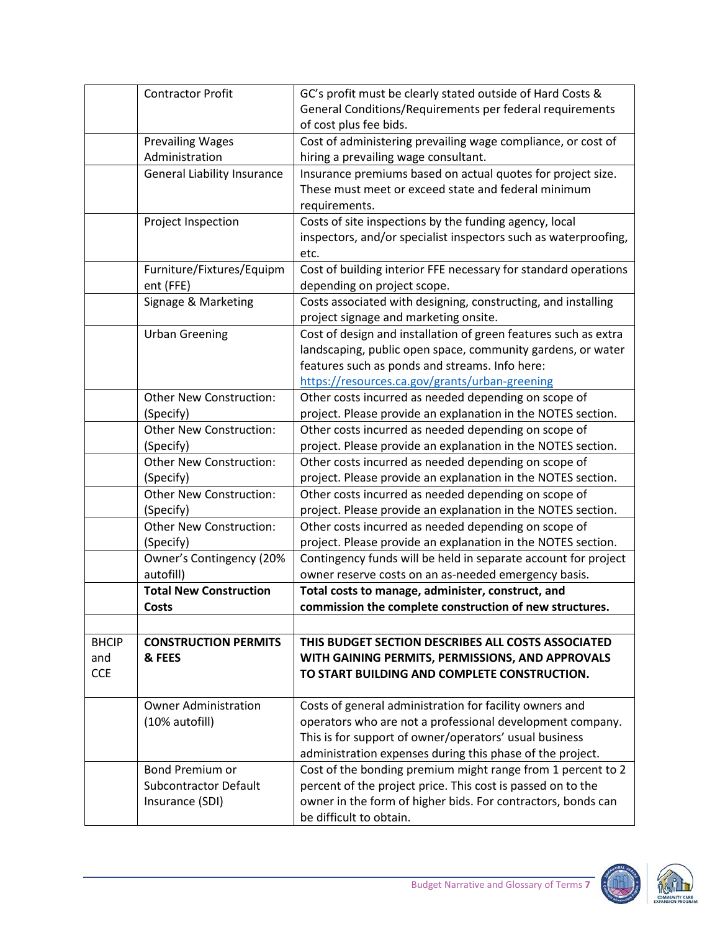|              | <b>Contractor Profit</b>           | GC's profit must be clearly stated outside of Hard Costs &<br>General Conditions/Requirements per federal requirements |
|--------------|------------------------------------|------------------------------------------------------------------------------------------------------------------------|
|              |                                    | of cost plus fee bids.                                                                                                 |
|              | <b>Prevailing Wages</b>            | Cost of administering prevailing wage compliance, or cost of                                                           |
|              | Administration                     | hiring a prevailing wage consultant.                                                                                   |
|              | <b>General Liability Insurance</b> | Insurance premiums based on actual quotes for project size.                                                            |
|              |                                    | These must meet or exceed state and federal minimum                                                                    |
|              |                                    | requirements.                                                                                                          |
|              | Project Inspection                 | Costs of site inspections by the funding agency, local                                                                 |
|              |                                    | inspectors, and/or specialist inspectors such as waterproofing,                                                        |
|              |                                    | etc.                                                                                                                   |
|              | Furniture/Fixtures/Equipm          | Cost of building interior FFE necessary for standard operations                                                        |
|              | ent (FFE)                          | depending on project scope.                                                                                            |
|              | Signage & Marketing                | Costs associated with designing, constructing, and installing                                                          |
|              |                                    | project signage and marketing onsite.                                                                                  |
|              | <b>Urban Greening</b>              | Cost of design and installation of green features such as extra                                                        |
|              |                                    | landscaping, public open space, community gardens, or water                                                            |
|              |                                    | features such as ponds and streams. Info here:                                                                         |
|              |                                    | https://resources.ca.gov/grants/urban-greening                                                                         |
|              | <b>Other New Construction:</b>     | Other costs incurred as needed depending on scope of                                                                   |
|              | (Specify)                          | project. Please provide an explanation in the NOTES section.                                                           |
|              | <b>Other New Construction:</b>     | Other costs incurred as needed depending on scope of                                                                   |
|              | (Specify)                          | project. Please provide an explanation in the NOTES section.                                                           |
|              | <b>Other New Construction:</b>     | Other costs incurred as needed depending on scope of                                                                   |
|              | (Specify)                          | project. Please provide an explanation in the NOTES section.                                                           |
|              | <b>Other New Construction:</b>     | Other costs incurred as needed depending on scope of                                                                   |
|              | (Specify)                          | project. Please provide an explanation in the NOTES section.                                                           |
|              | <b>Other New Construction:</b>     | Other costs incurred as needed depending on scope of                                                                   |
|              | (Specify)                          | project. Please provide an explanation in the NOTES section.                                                           |
|              | Owner's Contingency (20%           | Contingency funds will be held in separate account for project                                                         |
|              | autofill)                          | owner reserve costs on an as-needed emergency basis.                                                                   |
|              | <b>Total New Construction</b>      | Total costs to manage, administer, construct, and                                                                      |
|              | Costs                              | commission the complete construction of new structures.                                                                |
|              |                                    |                                                                                                                        |
| <b>BHCIP</b> | <b>CONSTRUCTION PERMITS</b>        | THIS BUDGET SECTION DESCRIBES ALL COSTS ASSOCIATED                                                                     |
| and          | & FEES                             | WITH GAINING PERMITS, PERMISSIONS, AND APPROVALS                                                                       |
| <b>CCE</b>   |                                    | TO START BUILDING AND COMPLETE CONSTRUCTION.                                                                           |
|              |                                    |                                                                                                                        |
|              | <b>Owner Administration</b>        | Costs of general administration for facility owners and                                                                |
|              | (10% autofill)                     | operators who are not a professional development company.                                                              |
|              |                                    | This is for support of owner/operators' usual business                                                                 |
|              |                                    | administration expenses during this phase of the project.                                                              |
|              | <b>Bond Premium or</b>             | Cost of the bonding premium might range from 1 percent to 2                                                            |
|              | <b>Subcontractor Default</b>       | percent of the project price. This cost is passed on to the                                                            |
|              | Insurance (SDI)                    | owner in the form of higher bids. For contractors, bonds can                                                           |
|              |                                    | be difficult to obtain.                                                                                                |

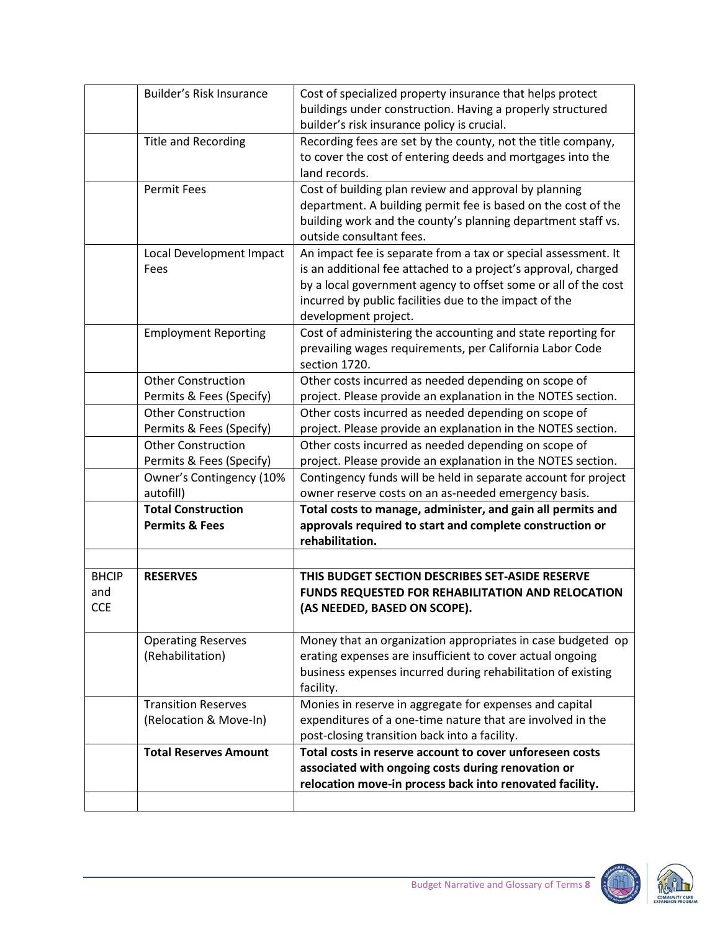|              | Builder's Risk Insurance     | Cost of specialized property insurance that helps protect      |
|--------------|------------------------------|----------------------------------------------------------------|
|              |                              | buildings under construction. Having a properly structured     |
|              |                              | builder's risk insurance policy is crucial.                    |
|              | Title and Recording          | Recording fees are set by the county, not the title company,   |
|              |                              | to cover the cost of entering deeds and mortgages into the     |
|              |                              | land records.                                                  |
|              | <b>Permit Fees</b>           | Cost of building plan review and approval by planning          |
|              |                              | department. A building permit fee is based on the cost of the  |
|              |                              | building work and the county's planning department staff vs.   |
|              |                              | outside consultant fees.                                       |
|              | Local Development Impact     | An impact fee is separate from a tax or special assessment. It |
|              | Fees                         | is an additional fee attached to a project's approval, charged |
|              |                              | by a local government agency to offset some or all of the cost |
|              |                              | incurred by public facilities due to the impact of the         |
|              |                              | development project.                                           |
|              | <b>Employment Reporting</b>  | Cost of administering the accounting and state reporting for   |
|              |                              | prevailing wages requirements, per California Labor Code       |
|              |                              | section 1720.                                                  |
|              | <b>Other Construction</b>    | Other costs incurred as needed depending on scope of           |
|              | Permits & Fees (Specify)     | project. Please provide an explanation in the NOTES section.   |
|              | <b>Other Construction</b>    | Other costs incurred as needed depending on scope of           |
|              | Permits & Fees (Specify)     | project. Please provide an explanation in the NOTES section.   |
|              | <b>Other Construction</b>    | Other costs incurred as needed depending on scope of           |
|              | Permits & Fees (Specify)     | project. Please provide an explanation in the NOTES section.   |
|              | Owner's Contingency (10%     | Contingency funds will be held in separate account for project |
|              | autofill)                    | owner reserve costs on an as-needed emergency basis.           |
|              |                              |                                                                |
|              | <b>Total Construction</b>    | Total costs to manage, administer, and gain all permits and    |
|              | <b>Permits &amp; Fees</b>    | approvals required to start and complete construction or       |
|              |                              | rehabilitation.                                                |
|              |                              |                                                                |
| <b>BHCIP</b> | <b>RESERVES</b>              | THIS BUDGET SECTION DESCRIBES SET-ASIDE RESERVE                |
| and          |                              | <b>FUNDS REQUESTED FOR REHABILITATION AND RELOCATION</b>       |
| <b>CCE</b>   |                              | (AS NEEDED, BASED ON SCOPE).                                   |
|              |                              |                                                                |
|              | <b>Operating Reserves</b>    | Money that an organization appropriates in case budgeted op    |
|              | (Rehabilitation)             | erating expenses are insufficient to cover actual ongoing      |
|              |                              | business expenses incurred during rehabilitation of existing   |
|              |                              | facility.                                                      |
|              | <b>Transition Reserves</b>   | Monies in reserve in aggregate for expenses and capital        |
|              | (Relocation & Move-In)       | expenditures of a one-time nature that are involved in the     |
|              |                              | post-closing transition back into a facility.                  |
|              | <b>Total Reserves Amount</b> | Total costs in reserve account to cover unforeseen costs       |
|              |                              | associated with ongoing costs during renovation or             |
|              |                              | relocation move-in process back into renovated facility.       |

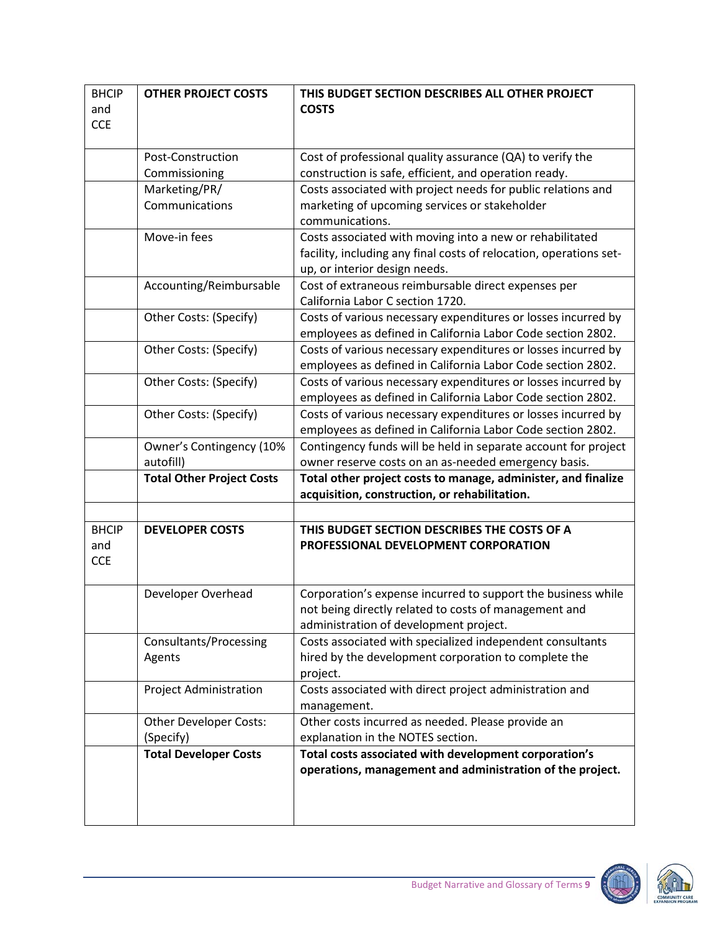| <b>BHCIP</b> | <b>OTHER PROJECT COSTS</b>       | THIS BUDGET SECTION DESCRIBES ALL OTHER PROJECT                                      |
|--------------|----------------------------------|--------------------------------------------------------------------------------------|
| and          |                                  | <b>COSTS</b>                                                                         |
| <b>CCE</b>   |                                  |                                                                                      |
|              |                                  |                                                                                      |
|              | Post-Construction                | Cost of professional quality assurance (QA) to verify the                            |
|              | Commissioning                    | construction is safe, efficient, and operation ready.                                |
|              | Marketing/PR/                    | Costs associated with project needs for public relations and                         |
|              | Communications                   | marketing of upcoming services or stakeholder                                        |
|              |                                  | communications.                                                                      |
|              | Move-in fees                     | Costs associated with moving into a new or rehabilitated                             |
|              |                                  | facility, including any final costs of relocation, operations set-                   |
|              |                                  | up, or interior design needs.                                                        |
|              | Accounting/Reimbursable          | Cost of extraneous reimbursable direct expenses per                                  |
|              |                                  | California Labor C section 1720.                                                     |
|              | Other Costs: (Specify)           | Costs of various necessary expenditures or losses incurred by                        |
|              |                                  | employees as defined in California Labor Code section 2802.                          |
|              | Other Costs: (Specify)           | Costs of various necessary expenditures or losses incurred by                        |
|              |                                  | employees as defined in California Labor Code section 2802.                          |
|              | Other Costs: (Specify)           | Costs of various necessary expenditures or losses incurred by                        |
|              |                                  | employees as defined in California Labor Code section 2802.                          |
|              | Other Costs: (Specify)           | Costs of various necessary expenditures or losses incurred by                        |
|              |                                  | employees as defined in California Labor Code section 2802.                          |
|              | Owner's Contingency (10%         | Contingency funds will be held in separate account for project                       |
|              | autofill)                        | owner reserve costs on an as-needed emergency basis.                                 |
|              | <b>Total Other Project Costs</b> | Total other project costs to manage, administer, and finalize                        |
|              |                                  | acquisition, construction, or rehabilitation.                                        |
| <b>BHCIP</b> |                                  |                                                                                      |
| and          | <b>DEVELOPER COSTS</b>           | THIS BUDGET SECTION DESCRIBES THE COSTS OF A<br>PROFESSIONAL DEVELOPMENT CORPORATION |
| <b>CCE</b>   |                                  |                                                                                      |
|              |                                  |                                                                                      |
|              | Developer Overhead               | Corporation's expense incurred to support the business while                         |
|              |                                  | not being directly related to costs of management and                                |
|              |                                  | administration of development project.                                               |
|              | Consultants/Processing           | Costs associated with specialized independent consultants                            |
|              | Agents                           | hired by the development corporation to complete the                                 |
|              |                                  | project.                                                                             |
|              | <b>Project Administration</b>    | Costs associated with direct project administration and                              |
|              |                                  | management.                                                                          |
|              | <b>Other Developer Costs:</b>    | Other costs incurred as needed. Please provide an                                    |
|              | (Specify)                        | explanation in the NOTES section.                                                    |
|              | <b>Total Developer Costs</b>     | Total costs associated with development corporation's                                |
|              |                                  | operations, management and administration of the project.                            |
|              |                                  |                                                                                      |
|              |                                  |                                                                                      |
|              |                                  |                                                                                      |